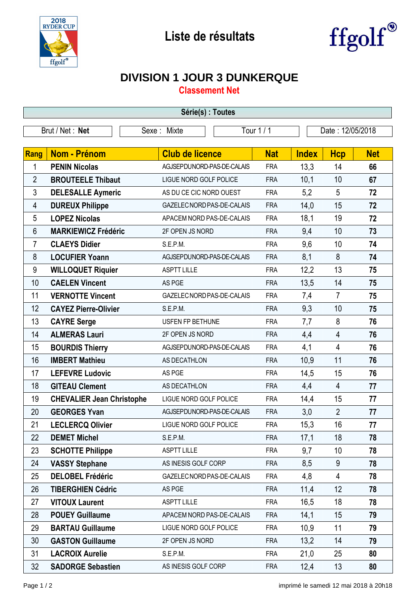



## **DIVISION 1 JOUR 3 DUNKERQUE**

**Classement Net**

| Série(s) : Toutes |                                  |                            |            |                  |                |            |  |  |  |
|-------------------|----------------------------------|----------------------------|------------|------------------|----------------|------------|--|--|--|
| Brut / Net : Net  |                                  | Sexe: Mixte                | Tour 1 / 1 | Date: 12/05/2018 |                |            |  |  |  |
| Rang              | Nom - Prénom                     | <b>Club de licence</b>     | <b>Nat</b> | <b>Index</b>     | <b>Hcp</b>     | <b>Net</b> |  |  |  |
| 1                 | <b>PENIN Nicolas</b>             | AGJSEPDUNORD-PAS-DE-CALAIS | <b>FRA</b> | 13,3             | 14             | 66         |  |  |  |
| $\overline{2}$    | <b>BROUTEELE Thibaut</b>         | LIGUE NORD GOLF POLICE     | <b>FRA</b> | 10,1             | 10             | 67         |  |  |  |
| 3                 | <b>DELESALLE Aymeric</b>         | AS DU CE CIC NORD OUEST    | <b>FRA</b> | 5,2              | 5              | 72         |  |  |  |
| 4                 | <b>DUREUX Philippe</b>           | GAZELEC NORD PAS-DE-CALAIS | <b>FRA</b> | 14,0             | 15             | 72         |  |  |  |
| 5                 | <b>LOPEZ Nicolas</b>             | APACEM NORD PAS-DE-CALAIS  | <b>FRA</b> | 18,1             | 19             | 72         |  |  |  |
| 6                 | <b>MARKIEWICZ Frédéric</b>       | 2F OPEN JS NORD            | <b>FRA</b> | 9,4              | 10             | 73         |  |  |  |
| $\overline{7}$    | <b>CLAEYS Didier</b>             | S.E.P.M.                   | <b>FRA</b> | 9,6              | 10             | 74         |  |  |  |
| 8                 | <b>LOCUFIER Yoann</b>            | AGJSEPDUNORD-PAS-DE-CALAIS | <b>FRA</b> | 8,1              | 8              | 74         |  |  |  |
| 9                 | <b>WILLOQUET Riquier</b>         | <b>ASPTT LILLE</b>         | <b>FRA</b> | 12,2             | 13             | 75         |  |  |  |
| 10                | <b>CAELEN Vincent</b>            | AS PGE                     | <b>FRA</b> | 13,5             | 14             | 75         |  |  |  |
| 11                | <b>VERNOTTE Vincent</b>          | GAZELEC NORD PAS-DE-CALAIS | <b>FRA</b> | 7,4              | $\overline{7}$ | 75         |  |  |  |
| 12                | <b>CAYEZ Pierre-Olivier</b>      | S.E.P.M.                   | <b>FRA</b> | 9,3              | 10             | 75         |  |  |  |
| 13                | <b>CAYRE Serge</b>               | USFEN FP BETHUNE           | <b>FRA</b> | 7,7              | 8              | 76         |  |  |  |
| 14                | <b>ALMERAS Lauri</b>             | 2F OPEN JS NORD            | <b>FRA</b> | 4,4              | $\overline{4}$ | 76         |  |  |  |
| 15                | <b>BOURDIS Thierry</b>           | AGJSEPDUNORD-PAS-DE-CALAIS | <b>FRA</b> | 4,1              | $\overline{4}$ | 76         |  |  |  |
| 16                | <b>IMBERT Mathieu</b>            | AS DECATHLON               | <b>FRA</b> | 10,9             | 11             | 76         |  |  |  |
| 17                | <b>LEFEVRE Ludovic</b>           | AS PGE                     | <b>FRA</b> | 14,5             | 15             | 76         |  |  |  |
| 18                | <b>GITEAU Clement</b>            | AS DECATHLON               | <b>FRA</b> | 4,4              | $\overline{4}$ | 77         |  |  |  |
| 19                | <b>CHEVALIER Jean Christophe</b> | LIGUE NORD GOLF POLICE     | <b>FRA</b> | 14,4             | 15             | 77         |  |  |  |
| 20                | <b>GEORGES Yvan</b>              | AGJSEPDUNORD-PAS-DE-CALAIS | <b>FRA</b> | 3,0              | $\overline{2}$ | 77         |  |  |  |
| 21                | <b>LECLERCQ Olivier</b>          | LIGUE NORD GOLF POLICE     | FRA        | 15,3             | 16             | 77         |  |  |  |
| 22                | <b>DEMET Michel</b>              | S.E.P.M.                   | <b>FRA</b> | 17,1             | 18             | 78         |  |  |  |
| 23                | <b>SCHOTTE Philippe</b>          | <b>ASPTT LILLE</b>         | <b>FRA</b> | 9,7              | 10             | 78         |  |  |  |
| 24                | <b>VASSY Stephane</b>            | AS INESIS GOLF CORP        | <b>FRA</b> | 8,5              | 9              | 78         |  |  |  |
| 25                | <b>DELOBEL Frédéric</b>          | GAZELEC NORD PAS-DE-CALAIS | <b>FRA</b> | 4,8              | 4              | 78         |  |  |  |
| 26                | <b>TIBERGHIEN Cédric</b>         | AS PGE                     | <b>FRA</b> | 11,4             | 12             | 78         |  |  |  |
| 27                | <b>VITOUX Laurent</b>            | <b>ASPTT LILLE</b>         | <b>FRA</b> | 16,5             | 18             | 78         |  |  |  |
| 28                | <b>POUEY Guillaume</b>           | APACEM NORD PAS-DE-CALAIS  | <b>FRA</b> | 14,1             | 15             | 79         |  |  |  |
| 29                | <b>BARTAU Guillaume</b>          | LIGUE NORD GOLF POLICE     | <b>FRA</b> | 10,9             | 11             | 79         |  |  |  |
| 30                | <b>GASTON Guillaume</b>          | 2F OPEN JS NORD            | <b>FRA</b> | 13,2             | 14             | 79         |  |  |  |
| 31                | <b>LACROIX Aurelie</b>           | S.E.P.M.                   | <b>FRA</b> | 21,0             | 25             | 80         |  |  |  |
| 32                | <b>SADORGE Sebastien</b>         | AS INESIS GOLF CORP        | <b>FRA</b> | 12,4             | 13             | 80         |  |  |  |